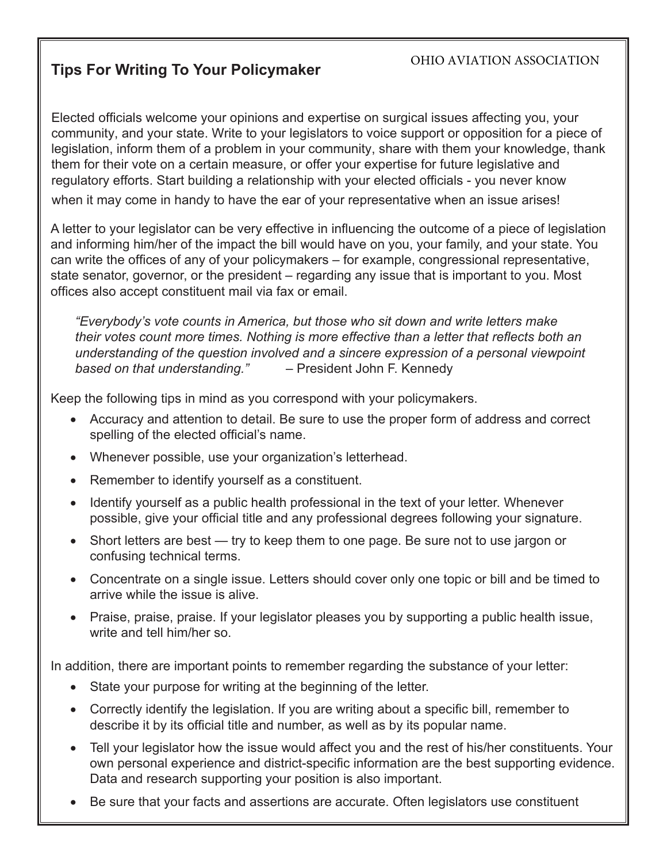## **Tips For Writing To Your Policymaker**

## OHIO AVIATION ASSOCIATION

Elected officials welcome your opinions and expertise on surgical issues affecting you, your community, and your state. Write to your legislators to voice support or opposition for a piece of legislation, inform them of a problem in your community, share with them your knowledge, thank them for their vote on a certain measure, or offer your expertise for future legislative and regulatory efforts. Start building a relationship with your elected officials - you never know when it may come in handy to have the ear of your representative when an issue arises!

A letter to your legislator can be very effective in influencing the outcome of a piece of legislation and informing him/her of the impact the bill would have on you, your family, and your state. You can write the offices of any of your policymakers – for example, congressional representative, state senator, governor, or the president – regarding any issue that is important to you. Most offices also accept constituent mail via fax or email.

*"Everybody's vote counts in America, but those who sit down and write letters make their votes count more times. Nothing is more effective than a letter that reflects both an understanding of the question involved and a sincere expression of a personal viewpoint based on that understanding."* – President John F. Kennedy

Keep the following tips in mind as you correspond with your policymakers.

- Accuracy and attention to detail. Be sure to use the proper form of address and correct spelling of the elected official's name.
- Whenever possible, use your organization's letterhead.
- Remember to identify yourself as a constituent.
- Identify yourself as a public health professional in the text of your letter. Whenever possible, give your official title and any professional degrees following your signature.
- Short letters are best try to keep them to one page. Be sure not to use jargon or confusing technical terms.
- Concentrate on a single issue. Letters should cover only one topic or bill and be timed to arrive while the issue is alive.
- Praise, praise, praise. If your legislator pleases you by supporting a public health issue, write and tell him/her so.

In addition, there are important points to remember regarding the substance of your letter:

- State your purpose for writing at the beginning of the letter.
- Correctly identify the legislation. If you are writing about a specific bill, remember to describe it by its official title and number, as well as by its popular name.
- Tell your legislator how the issue would affect you and the rest of his/her constituents. Your own personal experience and district-specific information are the best supporting evidence. Data and research supporting your position is also important.
- Be sure that your facts and assertions are accurate. Often legislators use constituent